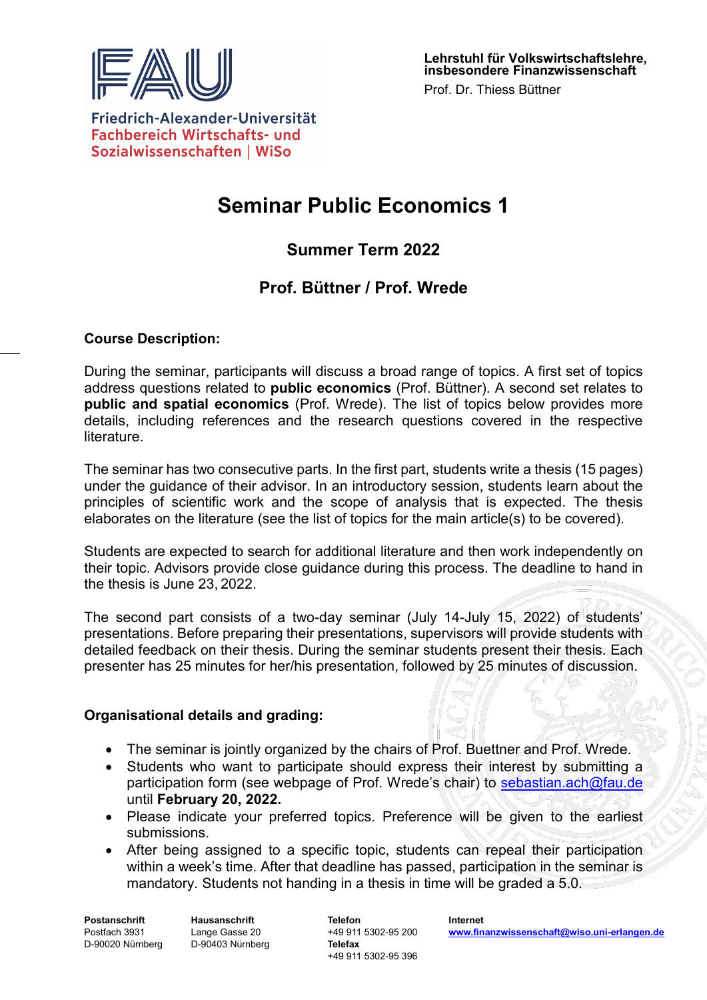

Friedrich-Alexander-Universität **Fachbereich Wirtschafts- und** Sozialwissenschaften | WiSo

# **Seminar Public Economics 1**

# **Summer Term 2022**

# **Prof. Büttner / Prof. Wrede**

### **Course Description:**

During the seminar, participants will discuss a broad range of topics. A first set of topics address questions related to **public economics** (Prof. Büttner). A second set relates to **public and spatial economics** (Prof. Wrede). The list of topics below provides more details, including references and the research questions covered in the respective literature.

The seminar has two consecutive parts. In the first part, students write a thesis (15 pages) under the guidance of their advisor. In an introductory session, students learn about the principles of scientific work and the scope of analysis that is expected. The thesis elaborates on the literature (see the list of topics for the main article(s) to be covered).

Students are expected to search for additional literature and then work independently on their topic. Advisors provide close guidance during this process. The deadline to hand in the thesis is June 23, 2022.

The second part consists of a two-day seminar (July 14-July 15, 2022) of students' presentations. Before preparing their presentations, supervisors will provide students with detailed feedback on their thesis. During the seminar students present their thesis. Each presenter has 25 minutes for her/his presentation, followed by 25 minutes of discussion.

#### **Organisational details and grading:**

- The seminar is jointly organized by the chairs of Prof. Buettner and Prof. Wrede.
- Students who want to participate should express their interest by submitting a participation form (see webpage of Prof. Wrede's chair) to [sebastian.ach@fau.de](mailto:sebastian.ach@fau.de) until **February 20, 2022.**
- Please indicate your preferred topics. Preference will be given to the earliest submissions.
- After being assigned to a specific topic, students can repeal their participation within a week's time. After that deadline has passed, participation in the seminar is mandatory. Students not handing in a thesis in time will be graded a 5.0.

**Postanschrift** Postfach 3931 D-90020 Nürnberg **Hausanschrift** Lange Gasse 20 D-90403 Nürnberg

**Telefon** +49 911 5302-95 200 **Telefax** +49 911 5302-95 396

**Internet [www.finanzwissenschaft@wiso.uni-erlangen.de](http://www.finanzwissenschaft@wiso.uni-erlangen.de)**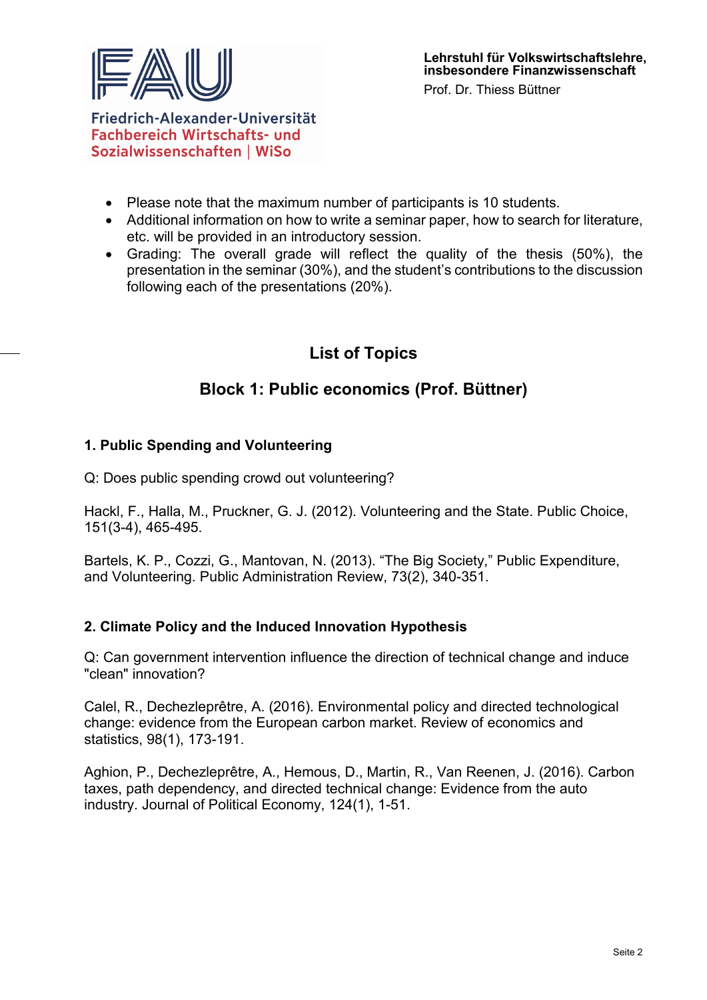

Prof. Dr. Thiess Büttner

Friedrich-Alexander-Universität **Fachbereich Wirtschafts- und** Sozialwissenschaften | WiSo

- Please note that the maximum number of participants is 10 students.
- Additional information on how to write a seminar paper, how to search for literature, etc. will be provided in an introductory session.
- Grading: The overall grade will reflect the quality of the thesis (50%), the presentation in the seminar (30%), and the student's contributions to the discussion following each of the presentations (20%).

# **List of Topics**

# **Block 1: Public economics (Prof. Büttner)**

# **1. Public Spending and Volunteering**

Q: Does public spending crowd out volunteering?

Hackl, F., Halla, M., Pruckner, G. J. (2012). Volunteering and the State. Public Choice, 151(3-4), 465-495.

Bartels, K. P., Cozzi, G., Mantovan, N. (2013). "The Big Society," Public Expenditure, and Volunteering. Public Administration Review, 73(2), 340-351.

# **2. Climate Policy and the Induced Innovation Hypothesis**

Q: Can government intervention influence the direction of technical change and induce "clean" innovation?

Calel, R., Dechezleprêtre, A. (2016). Environmental policy and directed technological change: evidence from the European carbon market. Review of economics and statistics, 98(1), 173-191.

Aghion, P., Dechezleprêtre, A., Hemous, D., Martin, R., Van Reenen, J. (2016). Carbon taxes, path dependency, and directed technical change: Evidence from the auto industry. Journal of Political Economy, 124(1), 1-51.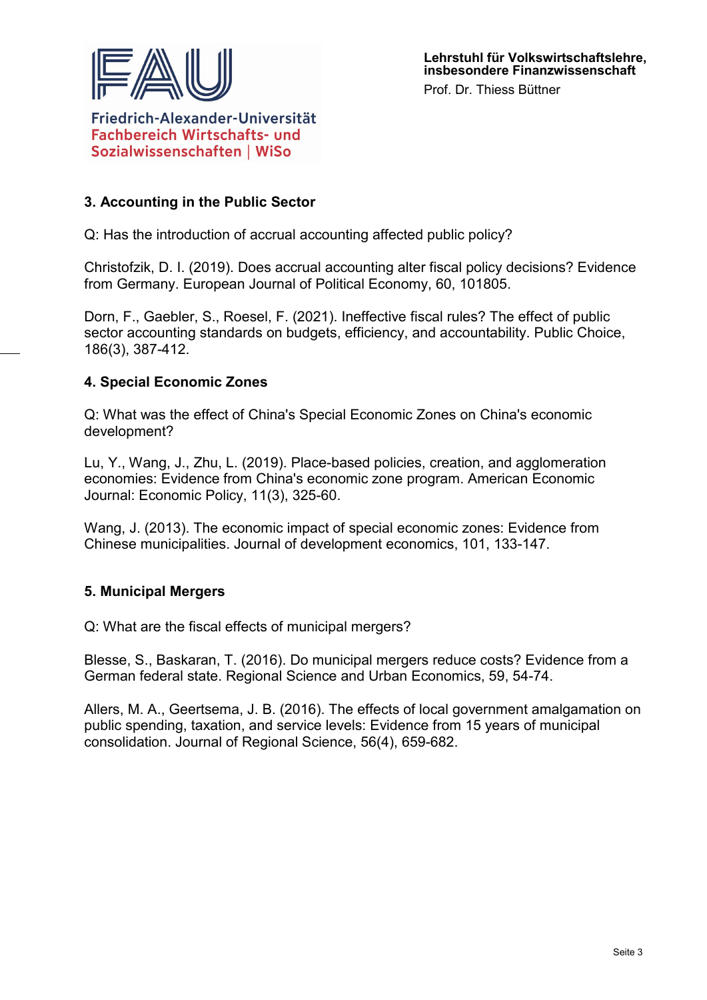

Friedrich-Alexander-Universität **Fachbereich Wirtschafts- und** Sozialwissenschaften | WiSo

# **3. Accounting in the Public Sector**

Q: Has the introduction of accrual accounting affected public policy?

Christofzik, D. I. (2019). Does accrual accounting alter fiscal policy decisions? Evidence from Germany. European Journal of Political Economy, 60, 101805.

Dorn, F., Gaebler, S., Roesel, F. (2021). Ineffective fiscal rules? The effect of public sector accounting standards on budgets, efficiency, and accountability. Public Choice, 186(3), 387-412.

# **4. Special Economic Zones**

Q: What was the effect of China's Special Economic Zones on China's economic development?

Lu, Y., Wang, J., Zhu, L. (2019). Place-based policies, creation, and agglomeration economies: Evidence from China's economic zone program. American Economic Journal: Economic Policy, 11(3), 325-60.

Wang, J. (2013). The economic impact of special economic zones: Evidence from Chinese municipalities. Journal of development economics, 101, 133-147.

# **5. Municipal Mergers**

Q: What are the fiscal effects of municipal mergers?

Blesse, S., Baskaran, T. (2016). Do municipal mergers reduce costs? Evidence from a German federal state. Regional Science and Urban Economics, 59, 54-74.

Allers, M. A., Geertsema, J. B. (2016). The effects of local government amalgamation on public spending, taxation, and service levels: Evidence from 15 years of municipal consolidation. Journal of Regional Science, 56(4), 659-682.